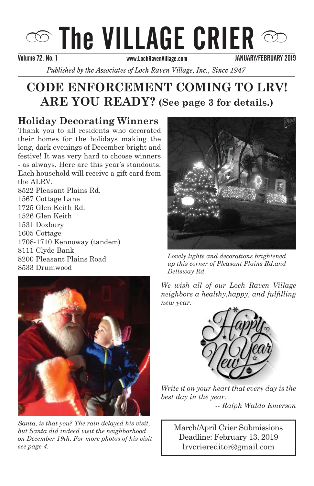## $\circledcirc$  The VILLAGE CRIER  $\circledcirc$ Volume 66, No.05 SEPTEMBER/OCTOBER 2012 Volume 72, No. 1 JANUARY/FEBRUARY 2019

*Published by the Associates of Loch Raven Village, Inc., Since 1947* 

## **CODE ENFORCEMENT COMING TO LRV!** ARE YOU READY? (See page 3 for details.)

## **Holiday Decorating Winners**

Thank you to all residents who decorated long, dark evenings of December bright and - as always. Here are this year's standouts. Each household will receive a gift card from the ALRV. their homes for the holidays making the festive! It was very hard to choose winners

8522 Pleasant Plains Rd. 1567 Cottage Lane  $1725$  Glen Keith Rd. 1526 Glen Keith 1531 Doxbury  $\frac{1600 \text{ Cottage}}{2000 \text{ Cottage}}$  $1708-1710$  Kennoway (tandem) orri Ciyae Bank<br>8200 Pleasant Plains Road ozoo 1 ieasant 1 iams noad<br>8533 Drumwood 1605 Cottage 8111 Clyde Bank



Santa, is that you? The rain delayed his visit, *but Santa did indeed visit the neighborhood* on December 19th. For more photos of his visit see page 4.



*Lovely lights and decorations brightened* as important, we all want Loch Raven *up this corner of Pleasant Plains Rd.and*  Elementary School building and site to *Dellsway Rd.*

We wish all of our Loch Raven Village *neighbors a healthy,happy, and fulfilling* hew year.



Write it on your heart that every day is the best day in the year. Babcock Church and the *-- Ralph Waldo Emerson*

 $\mathcal{L}$ 

lrvcriereditor@gmail.com *For Santa's Ride Information see page 3* March/April Crier Submissions Deadline: February 13, 2019

Deadline: December 15, 2014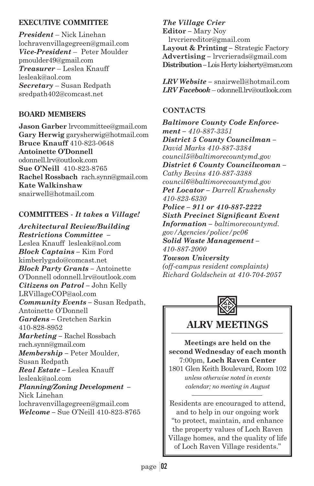#### **EXECUTIVE COMMITTEE**

*President* – Nick Linehan lochravenvillagegreen@gmail.com *Vice-President* – Peter Moulder pmoulder49@gmail.com *Treasurer* – Leslea Knauff lesleak@aol.com *Secretary* – Susan Redpath sredpath402@comcast.net

#### **BOARD MEMBERS**

**Jason Garber** lrvcommittee@gmail.com **Gary Herwig** garysherwig@hotmail.com **Bruce Knauff** 410-823-0648 **Antoinette O'Donnell** odonnell.lrv@outlook.com **Sue O'Neill** 410-823-8765 **Rachel Rossbach** rach.synn@gmail.com **Kate Walkinshaw** snairwell@hotmail.com

#### **COMMITTEES -** *It takes a Village!*

*Architectural Review/Building Restrictions Committee –* Leslea Knauff lesleak@aol.com *Block Captains –* Kim Ford kimberlygado@comcast.net *Block Party Grants –* Antoinette O'Donnell odonnell.lrv@outlook.com *Citizens on Patrol –* John Kelly LRVillageCOP@aol.com *Community Events - Susan Redpath,* Antoinette O'Donnell *Gardens –* Gretchen Sarkin 410-828-8952 *Marketing –* Rachel Rossbach rach.synn@gmail.com *Membership –* Peter Moulder, Susan Redpath *Real Estate –* Leslea Knauff lesleak@aol.com *Planning/Zoning Development -*Nick Linehan lochravenvillagegreen@gmail.com *Welcome –* Sue O'Neill 410-823-8765

*The Village Crier*  **Editor** *–* Mary Noy lrvcriereditor@gmail.com **Layout & Printing** *–* Strategic Factory **Advertising** *–* lrvcrierads@gmail.com **Distribution** *–* Lois Herty loisherty@msn.com

*LRV Website –* snairwell@hotmail.com *LRV Facebook* – odonnell.lrv@outlook.com

#### **CONTACTS**

*Baltimore County Code Enforcement – 410-887-3351 District 5 County Councilman – David Marks 410-887-3384 council5@baltimorecountymd.gov District 6 County Councilwoman – Cathy Bevins 410-887-3388 council6@baltimorecountymd.gov Pet Locator – Darrell Krushensky 410-823-6330 Police – 911 or 410-887-2222 Sixth Precinct Significant Event Information – baltimorecountymd. gov/Agencies/police/pc06 Solid Waste Management – 410-887-2000 Towson University (off-campus resident complaints) Richard Goldschein at 410-704-2057*



## **ALRV MEETINGS**

**Meetings are held on the second Wednesday of each month** 7:00pm, **Loch Raven Center**

1801 Glen Keith Boulevard, Room 102 *unless otherwise noted in events calendar; no meeting in August*

Residents are encouraged to attend, and to help in our ongoing work "to protect, maintain, and enhance the property values of Loch Raven Village homes, and the quality of life of Loch Raven Village residents."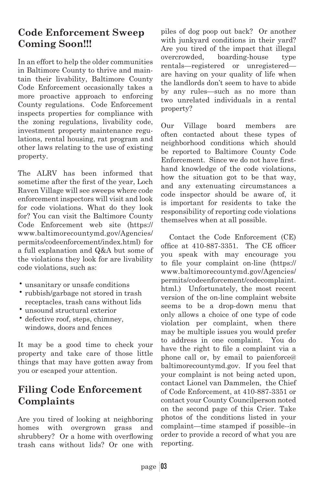## **Code Enforcement Sweep Coming Soon!!!**

In an effort to help the older communities in Baltimore County to thrive and maintain their livability, Baltimore County Code Enforcement occasionally takes a more proactive approach to enforcing County regulations. Code Enforcement inspects properties for compliance with the zoning regulations, livability code, investment property maintenance regulations, rental housing, rat program and other laws relating to the use of existing property.

The ALRV has been informed that sometime after the first of the year, Loch Raven Village will see sweeps where code enforcement inspectors will visit and look for code violations. What do they look for? You can visit the Baltimore County Code Enforcement web site (https:// www.baltimorecountymd.gov/Agencies/ permits/codeenforcement/index.html) for a full explanation and Q&A but some of the violations they look for are livability code violations, such as:

- unsanitary or unsafe conditions
- rubbish/garbage not stored in trash receptacles, trash cans without lids
- unsound structural exterior
- defective roof, steps, chimney, windows, doors and fences

It may be a good time to check your property and take care of those little things that may have gotten away from you or escaped your attention.

## **Filing Code Enforcement Complaints**

Are you tired of looking at neighboring homes with overgrown grass and shrubbery? Or a home with overflowing trash cans without lids? Or one with

piles of dog poop out back? Or another with junkyard conditions in their yard? Are you tired of the impact that illegal overcrowded, boarding-house type rentals—registered or unregistered are having on your quality of life when the landlords don't seem to have to abide by any rules—such as no more than two unrelated individuals in a rental property?

Our Village board members are often contacted about these types of neighborhood conditions which should be reported to Baltimore County Code Enforcement. Since we do not have firsthand knowledge of the code violations, how the situation got to be that way, and any extenuating circumstances a code inspector should be aware of, it is important for residents to take the responsibility of reporting code violations themselves when at all possible.

 Contact the Code Enforcement (CE) office at  $410-887-3351$ . The CE officer you speak with may encourage you to file your complaint on-line (https:// www.baltimorecountymd.gov/Agencies/ permits/codeenforcement/codecomplaint. html.) Unfortunately, the most recent version of the on-line complaint website seems to be a drop-down menu that only allows a choice of one type of code violation per complaint, when there may be multiple issues you would prefer to address in one complaint. You do have the right to file a complaint via a phone call or, by email to paienforce@ baltimorecountymd.gov. If you feel that your complaint is not being acted upon, contact Lionel van Dammelen, the Chief of Code Enforcement, at 410-887-3351 or contact your County Councilperson noted on the second page of this Crier. Take photos of the conditions listed in your complaint—time stamped if possible--in order to provide a record of what you are reporting.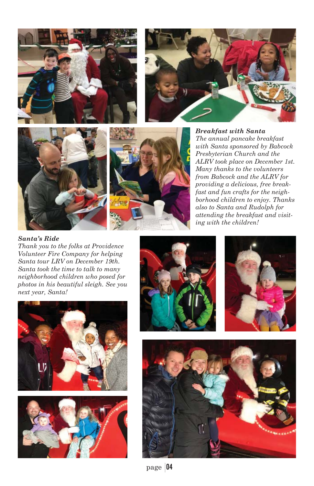







*Breakfast with Santa The annual pancake breakfast with Santa sponsored by Babcock Presbyterian Church and the ALRV took place on December 1st. Many thanks to the volunteers from Babcock and the ALRV for providing a delicious, free breakfast and fun crafts for the neighborhood children to enjoy. Thanks also to Santa and Rudolph for attending the breakfast and visiting with the children!*

#### *Santa's Ride*

*Thank you to the folks at Providence Volunteer Fire Company for helping Santa tour LRV on December 19th. Santa took the time to talk to many neighborhood children who posed for photos in his beautiful sleigh. See you next year, Santa!*









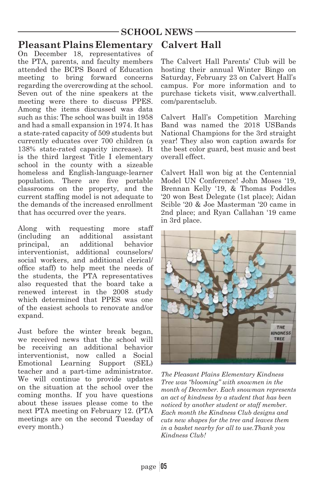#### **SCHOOL NEWS**

### **Pleasant Plains Elementary**

On December 18, representatives of the PTA, parents, and faculty members attended the BCPS Board of Education meeting to bring forward concerns regarding the overcrowding at the school. Seven out of the nine speakers at the meeting were there to discuss PPES. Among the items discussed was data such as this: The school was built in 1958 and had a small expansion in 1974. It has a state-rated capacity of 509 students but currently educates over 700 children (a 138% state-rated capacity increase). It is the third largest Title I elementary school in the county with a sizeable homeless and English-language-learner population. There are five portable classrooms on the property, and the current staffing model is not adequate to the demands of the increased enrollment that has occurred over the years.

Along with requesting more staff (including an additional assistant principal, an additional behavior interventionist, additional counselors/ social workers, and additional clerical/ office staff) to help meet the needs of the students, the PTA representatives also requested that the board take a renewed interest in the 2008 study which determined that PPES was one of the easiest schools to renovate and/or expand.

Just before the winter break began, we received news that the school will be receiving an additional behavior interventionist, now called a Social Emotional Learning Support (SEL) teacher and a part-time administrator. We will continue to provide updates on the situation at the school over the coming months. If you have questions about these issues please come to the next PTA meeting on February 12. (PTA meetings are on the second Tuesday of every month.)

#### **Calvert Hall**

The Calvert Hall Parents' Club will be hosting their annual Winter Bingo on Saturday, February 23 on Calvert Hall's campus. For more information and to purchase tickets visit, www.calverthall. com/parentsclub.

Calvert Hall's Competition Marching Band was named the 2018 USBands National Champions for the 3rd straight year! They also won caption awards for the best color guard, best music and best overall effect.

Calvert Hall won big at the Centennial Model UN Conference! John Moses '19, Brennan Kelly '19, & Thomas Poddles '20 won Best Delegate (1st place); Aidan Scible '20 & Joe Masterman '20 came in 2nd place; and Ryan Callahan '19 came in 3rd place.



*The Pleasant Plains Elementary Kindness Tree was "blooming" with snowmen in the month of December. Each snowman represents an act of kindness by a student that has been noticed by another student or staff member. Each month the Kindness Club designs and cuts new shapes for the tree and leaves them in a basket nearby for all to use.Thank you Kindness Club!*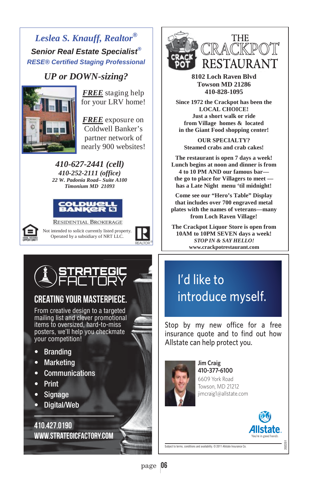## *Leslea S. Knauff, Realtor® Senior Real Estate Specialist® RESE® Certified Staging Professional*

# *UP or DOWN-sizing?*<br>FREE staging help



for your LRV home!

nearly 900 websites! *FREE* exposure on Coldwell Banker's partner network of

*410-627-2441 (cell) 410-252-2111 (office) 22 W. Padonia Road– Suite A100 Timonium MD 21093* 





**RESIDENTIAL BROKERAGE** Not intended to solicit currently listed property. Operated by a subsidiary of NRT LLC.





## CREATING YOUR MASTERPIECE.

From creative design to a targeted mailing list and clever promotional items to oversized, hard-to-miss posters, we'll help you checkmate your competition!

- Branding
- Marketing
- Communications
- Print
- Signage
- Digital/Web

410.427.0190 www.strategicfactory.com



**8102 Loch Raven Blvd Towson MD 21286 410-828-1095** 

 **Since 1972 the Crackpot has been the LOCAL CHOICE! Just a short walk or ride from Village homes & located in the Giant Food shopping center!** 

**OUR SPECIALTY? Steamed crabs and crab cakes!** 

**The restaurant is open 7 days a week! Lunch begins at noon and dinner is from 4 to 10 PM AND our famous bar the go to place for Villagers to meet has a Late Night menu 'til midnight!** 

**■ Come see our "Hero's Table" Display that includes over 700 engraved metal plates with the names of veterans—many from Loch Raven Village!** 

¤ **The Crackpot Liquor Store is open from 10AM to 10PM SEVEN days a week!**  *STOP IN & SAY HELLO!* **www.crackpotrestaurant.com**

## I'd like to introduce myself.

Stop by my new office for a free insurance quote and to find out how Allstate can help protect you.



**Jim Craig** 410-377-6100 6609 York Road Towson, MD 21212 jimcraig1@allstate.com



202251

Subject to terms, conditions and availability. © 2011 Allstate Insurance Co.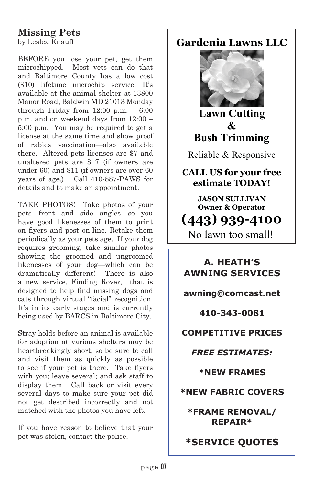## **Missing Pets**

by Leslea Knauff

BEFORE you lose your pet, get them microchipped. Most vets can do that and Baltimore County has a low cost (\$10) lifetime microchip service. It's available at the animal shelter at 13800 Manor Road, Baldwin MD 21013 Monday through Friday from  $12:00$  p.m.  $-6:00$ p.m. and on weekend days from 12:00 – 5:00 p.m. You may be required to get a license at the same time and show proof of rabies vaccination—also available there. Altered pets licenses are \$7 and unaltered pets are \$17 (if owners are under 60) and \$11 (if owners are over 60 years of age.) Call 410-887-PAWS for details and to make an appointment.

TAKE PHOTOS! Take photos of your pets—front and side angles—so you have good likenesses of them to print on flyers and post on-line. Retake them periodically as your pets age. If your dog requires grooming, take similar photos showing the groomed and ungroomed likenesses of your dog—which can be dramatically different! There is also a new service, Finding Rover, that is designed to help find missing dogs and cats through virtual "facial" recognition. It's in its early stages and is currently being used by BARCS in Baltimore City.

Stray holds before an animal is available for adoption at various shelters may be heartbreakingly short, so be sure to call and visit them as quickly as possible to see if your pet is there. Take flyers with you; leave several; and ask staff to display them. Call back or visit every several days to make sure your pet did not get described incorrectly and not matched with the photos you have left.

If you have reason to believe that your pet was stolen, contact the police.

## **Gardenia Lawns LLC**



**Lawn Cutting**  $\mathcal{R}_{I}$ **Bush Trimming** 

Reliable & Responsive

**CALL US for your free**  $estimate TODAY!$ 

No lawn too small! **JASON SULLIVAN 2** Operator 

### **A. HEATH'S AWNING SERVICES**

**awning@comcast.net** 

**410-343-0081** 

**COMPETITIVE PRICES** 

*FREE ESTIMATES:* 

**\*NEW FRAMES** 

**\*NEW FABRIC COVERS** 

**\*FRAME REMOVAL/ REPAIR\*** 

**\*SERVICE QUOTES**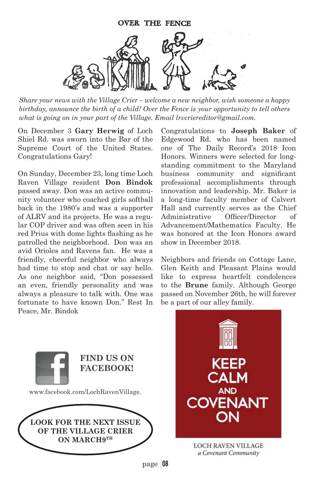

*Share your news with the Village Crier – welcome a new neighbor, wish someone a happy birthday, announce the birth of a child! Over the Fence is your opportunity to tell others what is going on in your part of the Village. Email lrvcriereditor@gmail.com.*

On December 3 **Gary Herwig** of Loch Shiel Rd. was sworn into the Bar of the Supreme Court of the United States. Congratulations Gary!

On Sunday, December 23, long time Loch Raven Village resident **Don Bindok** passed away. Don was an active community volunteer who coached girls softball back in the 1980's and was a supporter of ALRV and its projects. He was a regular COP driver and was often seen in his red Prius with dome lights flashing as he patrolled the neighborhood. Don was an avid Orioles and Ravens fan. He was a friendly, cheerful neighbor who always had time to stop and chat or say hello. As one neighbor said, "Don possessed an even, friendly personality and was always a pleasure to talk with. One was fortunate to have known Don." Rest In Peace, Mr. Bindok

Congratulations to **Joseph Baker** of Edgewood Rd. who has been named one of The Daily Record's 2018 Icon Honors. Winners were selected for longstanding commitment to the Maryland business community and significant professional accomplishments through innovation and leadership. Mr. Baker is a long-time faculty member of Calvert Hall and currently serves as the Chief Administrative Officer/Director of Advancement/Mathematics Faculty. He was honored at the Icon Honors award show in December 2018.

Neighbors and friends on Cottage Lane, Glen Keith and Pleasant Plains would like to express heartfelt condolences to the **Brune** family. Although George passed on November 26th, he will forever be a part of our alley family.



**LOOK FOR THE NEXT ISSUE OF THE VILLAGE CRIER ON MARCH9TH**



page 08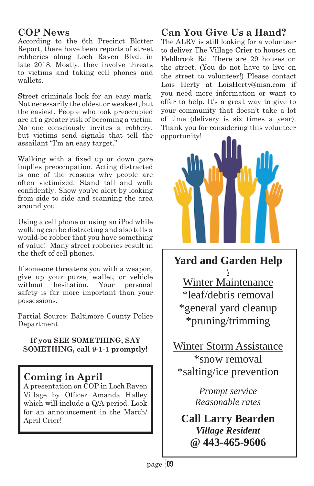#### **COP News**

According to the 6th Precinct Blotter Report, there have been reports of street robberies along Loch Raven Blvd. in late 2018. Mostly, they involve threats to victims and taking cell phones and wallets.

Street criminals look for an easy mark. Not necessarily the oldest or weakest, but the easiest. People who look preoccupied are at a greater risk of becoming a victim. No one consciously invites a robbery, but victims send signals that tell the assailant "I'm an easy target."

Walking with a fixed up or down gaze implies preoccupation. Acting distracted is one of the reasons why people are often victimized. Stand tall and walk confidently. Show you're alert by looking from side to side and scanning the area around you.

Using a cell phone or using an iPod while walking can be distracting and also tells a would-be robber that you have something of value! Many street robberies result in the theft of cell phones.

If someone threatens you with a weapon, give up your purse, wallet, or vehicle without hesitation. Your personal safety is far more important than your possessions.

Partial Source: Baltimore County Police Department

#### **If you SEE SOMETHING, SAY SOMETHING, call 9-1-1 promptly!**

### **Coming in April**

A presentation on COP in Loch Raven Village by Officer Amanda Halley which will include a Q/A period. Look for an announcement in the March/ April Crier!

## **Can You Give Us a Hand?**

The ALRV is still looking for a volunteer to deliver The Village Crier to houses on Feldbrook Rd. There are 29 houses on the street. (You do not have to live on the street to volunteer!) Please contact Lois Herty at LoisHerty@msn.com if you need more information or want to offer to help. It's a great way to give to your community that doesn't take a lot of time (delivery is six times a year). Thank you for considering this volunteer opportunity!



**Yard and Garden Help** 

**\**  Winter Maintenance \*leaf/debris removal \*general yard cleanup \*pruning/trimming

Winter Storm Assistance \*snow removal \*salting/ice prevention

> *Prompt service Reasonable rates*

**Call Larry Bearden**  *Village Resident*  **@ 443-465-9606**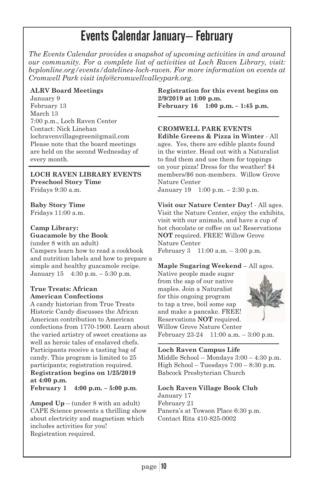## Events Calendar January– February

*The Events Calendar provides a snapshot of upcoming activities in and around our community. For a complete list of activities at Loch Raven Library, visit: bcplonline.org/events/datelines-loch-raven. For more information on events at Cromwell Park visit info@cromwellvalleypark.org.* 

#### **ALRV Board Meetings**

January 9 February 13 March 13 7:00 p.m., Loch Raven Center Contact: Nick Linehan lochravenvillagegreen@gmail.com Please note that the board meetings are held on the second Wednesday of every month.

**LOCH RAVEN LIBRARY EVENTS Preschool Story Time** Fridays 9:30 a.m.

**Baby Story Time** Fridays 11:00 a.m.

#### **Camp Library: Guacamole by the Book**

(under 8 with an adult) Campers learn how to read a cookbook and nutrition labels and how to prepare a simple and healthy guacamole recipe. January 15 4:30 p.m. – 5:30 p.m.

#### **True Treats: African American Confections**

A candy historian from True Treats Historic Candy discusses the African American contribution to American confections from 1770-1900. Learn about the varied artistry of sweet creations as well as heroic tales of enslaved chefs. Participants receive a tasting bag of candy. This program is limited to 25 participants; registration required. **Registration begins on 1/25/2019 at 4:00 p.m. February 1 4:00 p.m. – 5:00 p.m**.

**Amped Up** – (under 8 with an adult) CAPE Science presents a thrilling show about electricity and magnetism which includes activities for you! Registration required.

**Registration for this event begins on 2/9/2019 at 1:00 p.m. February 16 1:00 p.m. – 1:45 p.m.**

#### **CROMWELL PARK EVENTS**

**Edible Greens & Pizza in Winter** - All ages. Yes, there are edible plants found in the winter. Head out with a Naturalist to find them and use them for toppings on your pizza! Dress for the weather! \$4 members/\$6 non-members. Willow Grove Nature Center January 19 1:00 p.m. – 2:30 p.m.

**Visit our Nature Center Day!** - All ages. Visit the Nature Center, enjoy the exhibits, visit with our animals, and have a cup of hot chocolate or coffee on us! Reservations **NOT** required. FREE! Willow Grove Nature Center February 3 11:00 a.m. – 3:00 p.m.

#### **Maple Sugaring Weekend** – All ages.

Native people made sugar from the sap of our native maples. Join a Naturalist for this ongoing program to tap a tree, boil some sap and make a pancake. FREE! Reservations **NOT** required. Willow Grove Nature Center February 23-24 11:00 a.m. – 3:00 p.m.



**Loch Raven Campus Life**

Middle School -- Mondays 3:00 – 4:30 p.m. High School – Tuesdays 7:00 – 8:30 p.m. Babcock Presbyterian Church

#### **Loch Raven Village Book Club**

January 17 February 21 Panera's at Towson Place 6:30 p.m. Contact Rita 410-825-0002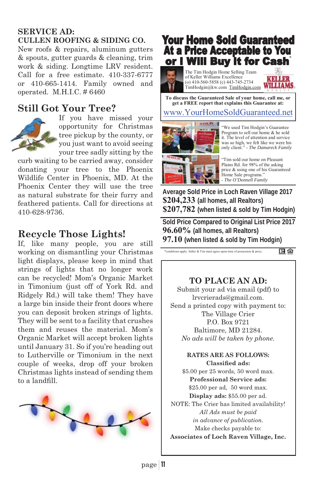#### **SERVICE AD: CULLEN ROOFING & SIDING CO.**

New roofs & repairs, aluminum gutters & spouts, gutter guards & cleaning, trim work & siding. Longtime LRV resident. Call for a free estimate. 410-337-6777 or 410-665-1414. Family owned and operated. M.H.I.C. # 6460

### **Still Got Your Tree?**



If you have missed your opportunity for Christmas tree pickup by the county, or you just want to avoid seeing your tree sadly sitting by the

curb waiting to be carried away, consider donating your tree to the Phoenix Wildlife Center in Phoenix, MD. At the Phoenix Center they will use the tree as natural substrate for their furry and feathered patients. Call for directions at 410-628-9736.

### **Recycle Those Lights!**

If, like many people, you are still working on dismantling your Christmas light displays, please keep in mind that strings of lights that no longer work can be recycled! Mom's Organic Market in Timonium (just off of York Rd. and Ridgely Rd.) will take them! They have a large bin inside their front doors where you can deposit broken strings of lights. They will be sent to a facility that crushes them and reuses the material. Mom's Organic Market will accept broken lights until January 31. So if you're heading out to Lutherville or Timonium in the next couple of weeks, drop off your broken Christmas lights instead of sending them to a landfill.



## **Your Home Sold Guaranteed At a Price Acceptable to You** or I Will Buy it for Cash

The Tim Hodgin Home Selling Team of Keller Williams Excellence (o) 410-560-5858 (c) 443-745-2734 TimHodgin@kw.com TimHodgin.com WILLIAMS



**To discuss the Guaranteed Sale of your home, call me, or get a FREE report that explains this Guarantee at:** 

#### www.YourHomeSoldGuaranteed.net



"We used Tim Hodgin's Guarantee Program to sell our home & he sold it. The level of attention and service was so high, we felt like we were his only client." - *The Damareck Family*

"Tim sold our home on Pleasant Plains Rd. for 98% of the asking price & using one of his Guaranteed Home Sale programs. - *The O'Donnell Family*

**Average Sold Price in Loch Raven Village 2017 \$204,233 (all homes, all Realtors) \$207,782 (when listed & sold by Tim Hodgin)** 

**Sold Price Compared to Original List Price 2017 96.60% (all homes, all Realtors) 97.10 (when listed & sold by Tim Hodgin)**

\*conditions apply. Seller & Tim must agree upon time of possession & price. 田倉

#### **TO PLACE AN AD:**

Submit your ad via email (pdf) to lrvcrierads@gmail.com. Send a printed copy with payment to: The Village Crier P.O. Box 9721 Baltimore, MD 21284. *No ads will be taken by phone.*

#### **RATES ARE AS FOLLOWS: Classified ads:**

\$5.00 per 25 words, 50 word max. **Professional Service ads:** \$25.00 per ad, 50 word max. **Display ads:** \$55.00 per ad. NOTE: The Crier has limited availability! *All Ads must be paid in advance of publication.*  Make checks payable to: **Associates of Loch Raven Village, Inc.**